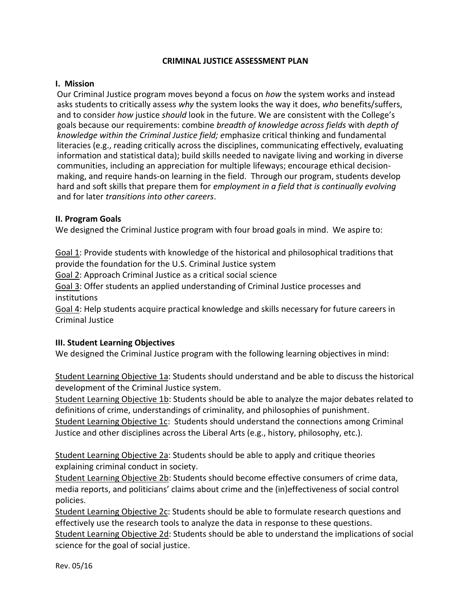### **CRIMINAL JUSTICE ASSESSMENT PLAN**

### **I. Mission**

Our Criminal Justice program moves beyond a focus on *how* the system works and instead asks students to critically assess *why* the system looks the way it does, *who* benefits/suffers, and to consider *how* justice *should* look in the future. We are consistent with the College's goals because our requirements: combine *breadth of knowledge across fields* with *depth of knowledge within the Criminal Justice field; e*mphasize critical thinking and fundamental literacies (e.g., reading critically across the disciplines, communicating effectively, evaluating information and statistical data); build skills needed to navigate living and working in diverse communities, including an appreciation for multiple lifeways; encourage ethical decisionmaking, and require hands-on learning in the field. Through our program, students develop hard and soft skills that prepare them for *employment in a field that is continually evolving*  and for later *transitions into other careers*.

### **II. Program Goals**

We designed the Criminal Justice program with four broad goals in mind. We aspire to:

Goal 1: Provide students with knowledge of the historical and philosophical traditions that provide the foundation for the U.S. Criminal Justice system

Goal 2: Approach Criminal Justice as a critical social science

Goal 3: Offer students an applied understanding of Criminal Justice processes and institutions

Goal 4: Help students acquire practical knowledge and skills necessary for future careers in Criminal Justice

### **III. Student Learning Objectives**

We designed the Criminal Justice program with the following learning objectives in mind:

Student Learning Objective 1a: Students should understand and be able to discuss the historical development of the Criminal Justice system.

Student Learning Objective 1b: Students should be able to analyze the major debates related to definitions of crime, understandings of criminality, and philosophies of punishment. Student Learning Objective 1c: Students should understand the connections among Criminal Justice and other disciplines across the Liberal Arts (e.g., history, philosophy, etc.).

Student Learning Objective 2a: Students should be able to apply and critique theories explaining criminal conduct in society.

Student Learning Objective 2b: Students should become effective consumers of crime data, media reports, and politicians' claims about crime and the (in)effectiveness of social control policies.

Student Learning Objective 2c: Students should be able to formulate research questions and effectively use the research tools to analyze the data in response to these questions. Student Learning Objective 2d: Students should be able to understand the implications of social science for the goal of social justice.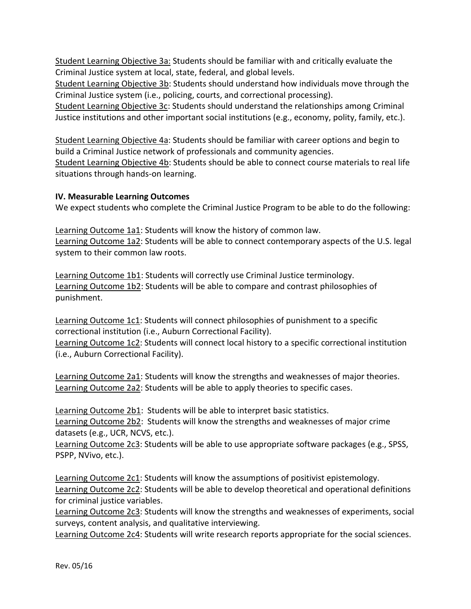Student Learning Objective 3a: Students should be familiar with and critically evaluate the Criminal Justice system at local, state, federal, and global levels.

Student Learning Objective 3b: Students should understand how individuals move through the Criminal Justice system (i.e., policing, courts, and correctional processing).

Student Learning Objective 3c: Students should understand the relationships among Criminal Justice institutions and other important social institutions (e.g., economy, polity, family, etc.).

Student Learning Objective 4a: Students should be familiar with career options and begin to build a Criminal Justice network of professionals and community agencies. Student Learning Objective 4b: Students should be able to connect course materials to real life situations through hands-on learning.

# **IV. Measurable Learning Outcomes**

We expect students who complete the Criminal Justice Program to be able to do the following:

Learning Outcome 1a1: Students will know the history of common law. Learning Outcome 1a2: Students will be able to connect contemporary aspects of the U.S. legal system to their common law roots.

Learning Outcome 1b1: Students will correctly use Criminal Justice terminology. Learning Outcome 1b2: Students will be able to compare and contrast philosophies of punishment.

Learning Outcome 1c1: Students will connect philosophies of punishment to a specific correctional institution (i.e., Auburn Correctional Facility).

Learning Outcome 1c2: Students will connect local history to a specific correctional institution (i.e., Auburn Correctional Facility).

Learning Outcome 2a1: Students will know the strengths and weaknesses of major theories. Learning Outcome 2a2: Students will be able to apply theories to specific cases.

Learning Outcome 2b1: Students will be able to interpret basic statistics. Learning Outcome 2b2: Students will know the strengths and weaknesses of major crime datasets (e.g., UCR, NCVS, etc.).

Learning Outcome 2c3: Students will be able to use appropriate software packages (e.g., SPSS, PSPP, NVivo, etc.).

Learning Outcome 2c1: Students will know the assumptions of positivist epistemology. Learning Outcome 2c2: Students will be able to develop theoretical and operational definitions for criminal justice variables.

Learning Outcome 2c3: Students will know the strengths and weaknesses of experiments, social surveys, content analysis, and qualitative interviewing.

Learning Outcome 2c4: Students will write research reports appropriate for the social sciences.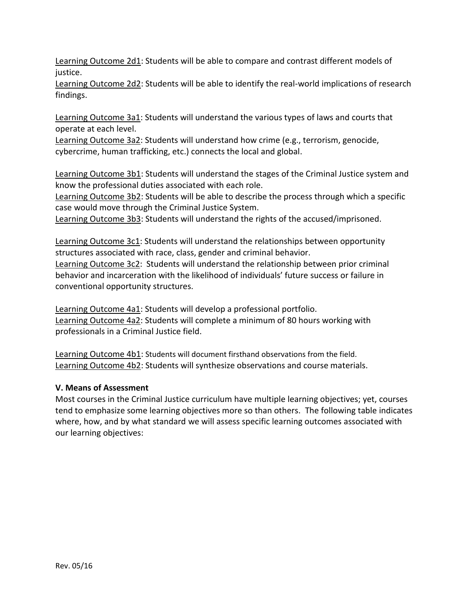Learning Outcome 2d1: Students will be able to compare and contrast different models of justice.

Learning Outcome 2d2: Students will be able to identify the real-world implications of research findings.

Learning Outcome 3a1: Students will understand the various types of laws and courts that operate at each level.

Learning Outcome 3a2: Students will understand how crime (e.g., terrorism, genocide, cybercrime, human trafficking, etc.) connects the local and global.

Learning Outcome 3b1: Students will understand the stages of the Criminal Justice system and know the professional duties associated with each role.

Learning Outcome 3b2: Students will be able to describe the process through which a specific case would move through the Criminal Justice System.

Learning Outcome 3b3: Students will understand the rights of the accused/imprisoned.

Learning Outcome 3c1: Students will understand the relationships between opportunity structures associated with race, class, gender and criminal behavior.

Learning Outcome 3c2: Students will understand the relationship between prior criminal behavior and incarceration with the likelihood of individuals' future success or failure in conventional opportunity structures.

Learning Outcome 4a1: Students will develop a professional portfolio. Learning Outcome 4a2: Students will complete a minimum of 80 hours working with professionals in a Criminal Justice field.

Learning Outcome 4b1: Students will document firsthand observations from the field. Learning Outcome 4b2: Students will synthesize observations and course materials.

# **V. Means of Assessment**

Most courses in the Criminal Justice curriculum have multiple learning objectives; yet, courses tend to emphasize some learning objectives more so than others. The following table indicates where, how, and by what standard we will assess specific learning outcomes associated with our learning objectives: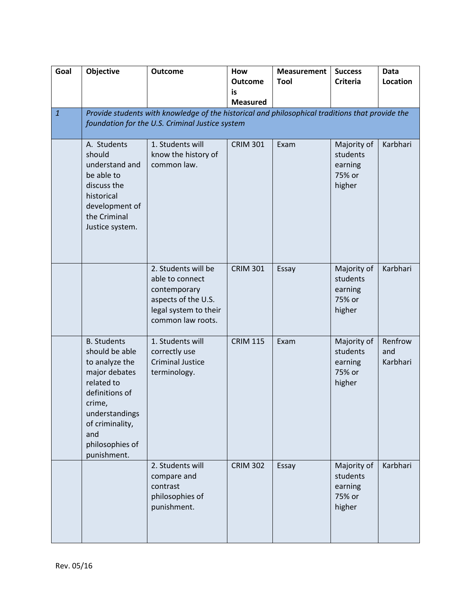| Goal         | Objective                                                                                                                                                                                       | <b>Outcome</b>                                                                                                                                     | How<br><b>Outcome</b><br>is<br><b>Measured</b> | <b>Measurement</b><br>Tool | <b>Success</b><br><b>Criteria</b>                      | Data<br>Location           |
|--------------|-------------------------------------------------------------------------------------------------------------------------------------------------------------------------------------------------|----------------------------------------------------------------------------------------------------------------------------------------------------|------------------------------------------------|----------------------------|--------------------------------------------------------|----------------------------|
| $\mathbf{1}$ |                                                                                                                                                                                                 | Provide students with knowledge of the historical and philosophical traditions that provide the<br>foundation for the U.S. Criminal Justice system |                                                |                            |                                                        |                            |
|              | A. Students<br>should<br>understand and<br>be able to<br>discuss the<br>historical<br>development of<br>the Criminal<br>Justice system.                                                         | 1. Students will<br>know the history of<br>common law.                                                                                             | <b>CRIM 301</b>                                | Exam                       | Majority of<br>students<br>earning<br>75% or<br>higher | Karbhari                   |
|              |                                                                                                                                                                                                 | 2. Students will be<br>able to connect<br>contemporary<br>aspects of the U.S.<br>legal system to their<br>common law roots.                        | <b>CRIM 301</b>                                | Essay                      | Majority of<br>students<br>earning<br>75% or<br>higher | Karbhari                   |
|              | <b>B.</b> Students<br>should be able<br>to analyze the<br>major debates<br>related to<br>definitions of<br>crime,<br>understandings<br>of criminality,<br>and<br>philosophies of<br>punishment. | 1. Students will<br>correctly use<br><b>Criminal Justice</b><br>terminology.                                                                       | <b>CRIM 115</b>                                | Exam                       | Majority of<br>students<br>earning<br>75% or<br>higher | Renfrow<br>and<br>Karbhari |
|              |                                                                                                                                                                                                 | 2. Students will<br>compare and<br>contrast<br>philosophies of<br>punishment.                                                                      | <b>CRIM 302</b>                                | Essay                      | Majority of<br>students<br>earning<br>75% or<br>higher | Karbhari                   |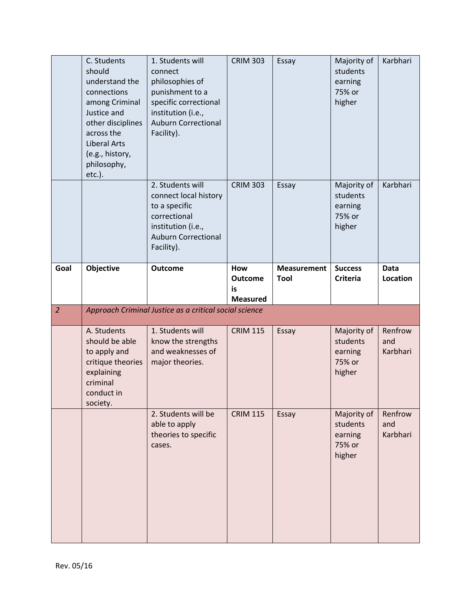|                | C. Students<br>should<br>understand the<br>connections<br>among Criminal<br>Justice and<br>other disciplines<br>across the<br><b>Liberal Arts</b><br>(e.g., history,<br>philosophy,<br>$etc.$ ). | 1. Students will<br>connect<br>philosophies of<br>punishment to a<br>specific correctional<br>institution (i.e.,<br><b>Auburn Correctional</b><br>Facility). | <b>CRIM 303</b>                                | Essay                      | Majority of<br>students<br>earning<br>75% or<br>higher | Karbhari                   |
|----------------|--------------------------------------------------------------------------------------------------------------------------------------------------------------------------------------------------|--------------------------------------------------------------------------------------------------------------------------------------------------------------|------------------------------------------------|----------------------------|--------------------------------------------------------|----------------------------|
|                |                                                                                                                                                                                                  | 2. Students will<br>connect local history<br>to a specific<br>correctional<br>institution (i.e.,<br><b>Auburn Correctional</b><br>Facility).                 | <b>CRIM 303</b>                                | Essay                      | Majority of<br>students<br>earning<br>75% or<br>higher | Karbhari                   |
| Goal           | Objective                                                                                                                                                                                        | <b>Outcome</b>                                                                                                                                               | How<br><b>Outcome</b><br>is<br><b>Measured</b> | <b>Measurement</b><br>Tool | <b>Success</b><br><b>Criteria</b>                      | <b>Data</b><br>Location    |
|                |                                                                                                                                                                                                  |                                                                                                                                                              |                                                |                            |                                                        |                            |
| $\overline{2}$ |                                                                                                                                                                                                  | Approach Criminal Justice as a critical social science                                                                                                       |                                                |                            |                                                        |                            |
|                | A. Students<br>should be able<br>to apply and<br>critique theories<br>explaining<br>criminal<br>conduct in<br>society.                                                                           | 1. Students will<br>know the strengths<br>and weaknesses of<br>major theories.                                                                               | <b>CRIM 115</b>                                | Essay                      | Majority of<br>students<br>earning<br>75% or<br>higher | Renfrow<br>and<br>Karbhari |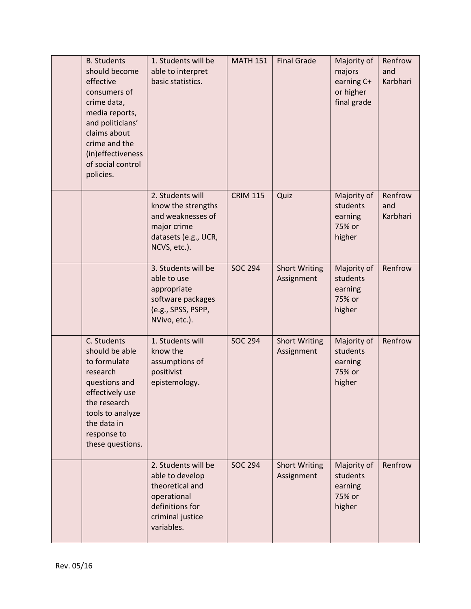| <b>B.</b> Students<br>should become<br>effective<br>consumers of<br>crime data,<br>media reports,<br>and politicians'<br>claims about<br>crime and the<br>(in)effectiveness<br>of social control<br>policies. | 1. Students will be<br>able to interpret<br>basic statistics.                                                                 | <b>MATH 151</b> | <b>Final Grade</b>                 | Majority of<br>majors<br>earning C+<br>or higher<br>final grade | Renfrow<br>and<br>Karbhari |
|---------------------------------------------------------------------------------------------------------------------------------------------------------------------------------------------------------------|-------------------------------------------------------------------------------------------------------------------------------|-----------------|------------------------------------|-----------------------------------------------------------------|----------------------------|
|                                                                                                                                                                                                               | 2. Students will<br>know the strengths<br>and weaknesses of<br>major crime<br>datasets (e.g., UCR,<br>NCVS, etc.).            | <b>CRIM 115</b> | Quiz                               | Majority of<br>students<br>earning<br>75% or<br>higher          | Renfrow<br>and<br>Karbhari |
|                                                                                                                                                                                                               | 3. Students will be<br>able to use<br>appropriate<br>software packages<br>(e.g., SPSS, PSPP,<br>NVivo, etc.).                 | <b>SOC 294</b>  | <b>Short Writing</b><br>Assignment | Majority of<br>students<br>earning<br>75% or<br>higher          | Renfrow                    |
| C. Students<br>should be able<br>to formulate<br>research<br>questions and<br>effectively use<br>the research<br>tools to analyze<br>the data in<br>response to<br>these questions.                           | 1. Students will<br>know the<br>assumptions of<br>positivist<br>epistemology.                                                 | <b>SOC 294</b>  | <b>Short Writing</b><br>Assignment | Majority of<br>students<br>earning<br>75% or<br>higher          | Renfrow                    |
|                                                                                                                                                                                                               | 2. Students will be<br>able to develop<br>theoretical and<br>operational<br>definitions for<br>criminal justice<br>variables. | <b>SOC 294</b>  | <b>Short Writing</b><br>Assignment | Majority of<br>students<br>earning<br>75% or<br>higher          | Renfrow                    |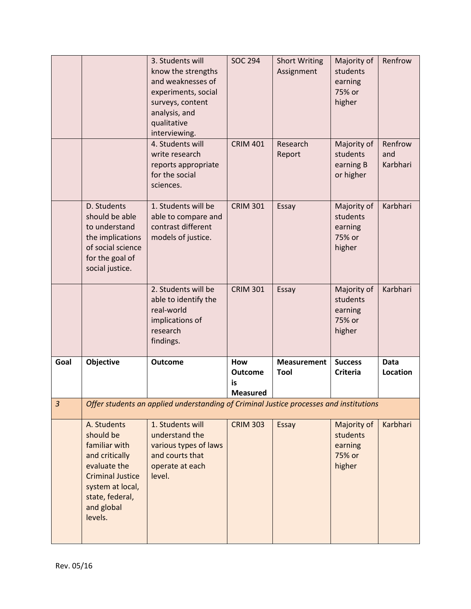|      |                                                                                                                                                                        | 3. Students will<br>know the strengths<br>and weaknesses of<br>experiments, social<br>surveys, content<br>analysis, and<br>qualitative<br>interviewing.<br>4. Students will<br>write research | <b>SOC 294</b><br><b>CRIM 401</b>              | <b>Short Writing</b><br>Assignment<br>Research<br>Report | Majority of<br>students<br>earning<br>75% or<br>higher<br>Majority of<br>students | Renfrow<br>Renfrow<br>and |
|------|------------------------------------------------------------------------------------------------------------------------------------------------------------------------|-----------------------------------------------------------------------------------------------------------------------------------------------------------------------------------------------|------------------------------------------------|----------------------------------------------------------|-----------------------------------------------------------------------------------|---------------------------|
|      |                                                                                                                                                                        | reports appropriate<br>for the social<br>sciences.                                                                                                                                            |                                                |                                                          | earning B<br>or higher                                                            | Karbhari                  |
|      | D. Students<br>should be able<br>to understand<br>the implications<br>of social science<br>for the goal of<br>social justice.                                          | 1. Students will be<br>able to compare and<br>contrast different<br>models of justice.                                                                                                        | <b>CRIM 301</b>                                | Essay                                                    | Majority of<br>students<br>earning<br>75% or<br>higher                            | Karbhari                  |
|      |                                                                                                                                                                        | 2. Students will be<br>able to identify the<br>real-world<br>implications of<br>research<br>findings.                                                                                         | <b>CRIM 301</b>                                | Essay                                                    | Majority of<br>students<br>earning<br>75% or<br>higher                            | Karbhari                  |
| Goal | Objective                                                                                                                                                              | <b>Outcome</b>                                                                                                                                                                                | How<br><b>Outcome</b><br>is<br><b>Measured</b> | <b>Measurement</b><br>Tool                               | <b>Success</b><br><b>Criteria</b>                                                 | <b>Data</b><br>Location   |
| 3    |                                                                                                                                                                        | Offer students an applied understanding of Criminal Justice processes and institutions                                                                                                        |                                                |                                                          |                                                                                   |                           |
|      | A. Students<br>should be<br>familiar with<br>and critically<br>evaluate the<br><b>Criminal Justice</b><br>system at local,<br>state, federal,<br>and global<br>levels. | 1. Students will<br>understand the<br>various types of laws<br>and courts that<br>operate at each<br>level.                                                                                   | <b>CRIM 303</b>                                | Essay                                                    | Majority of<br>students<br>earning<br>75% or<br>higher                            | Karbhari                  |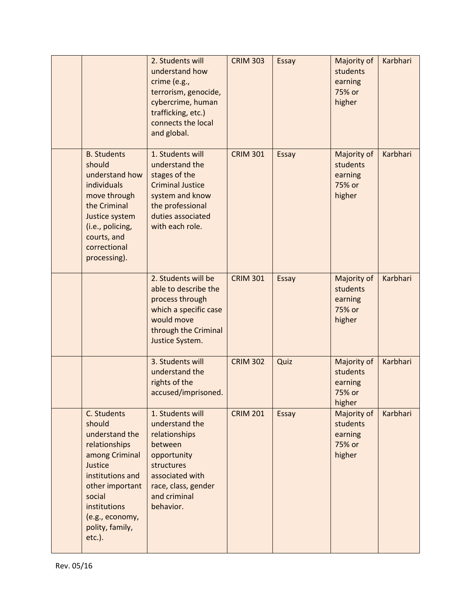|                                                                                                                                                                                                           | 2. Students will<br>understand how<br>crime (e.g.,<br>terrorism, genocide,<br>cybercrime, human<br>trafficking, etc.)<br>connects the local<br>and global.         | <b>CRIM 303</b> | Essay | Majority of<br>students<br>earning<br>75% or<br>higher | Karbhari |
|-----------------------------------------------------------------------------------------------------------------------------------------------------------------------------------------------------------|--------------------------------------------------------------------------------------------------------------------------------------------------------------------|-----------------|-------|--------------------------------------------------------|----------|
| <b>B. Students</b><br>should<br>understand how<br>individuals<br>move through<br>the Criminal<br>Justice system<br>(i.e., policing,<br>courts, and<br>correctional<br>processing).                        | 1. Students will<br>understand the<br>stages of the<br><b>Criminal Justice</b><br>system and know<br>the professional<br>duties associated<br>with each role.      | <b>CRIM 301</b> | Essay | Majority of<br>students<br>earning<br>75% or<br>higher | Karbhari |
|                                                                                                                                                                                                           | 2. Students will be<br>able to describe the<br>process through<br>which a specific case<br>would move<br>through the Criminal<br>Justice System.                   | <b>CRIM 301</b> | Essay | Majority of<br>students<br>earning<br>75% or<br>higher | Karbhari |
|                                                                                                                                                                                                           | 3. Students will<br>understand the<br>rights of the<br>accused/imprisoned.                                                                                         | <b>CRIM 302</b> | Quiz  | Majority of<br>students<br>earning<br>75% or<br>higher | Karbhari |
| C. Students<br>should<br>understand the<br>relationships<br>among Criminal<br>Justice<br>institutions and<br>other important<br>social<br>institutions<br>(e.g., economy,<br>polity, family,<br>$etc.$ ). | 1. Students will<br>understand the<br>relationships<br>between<br>opportunity<br>structures<br>associated with<br>race, class, gender<br>and criminal<br>behavior. | <b>CRIM 201</b> | Essay | Majority of<br>students<br>earning<br>75% or<br>higher | Karbhari |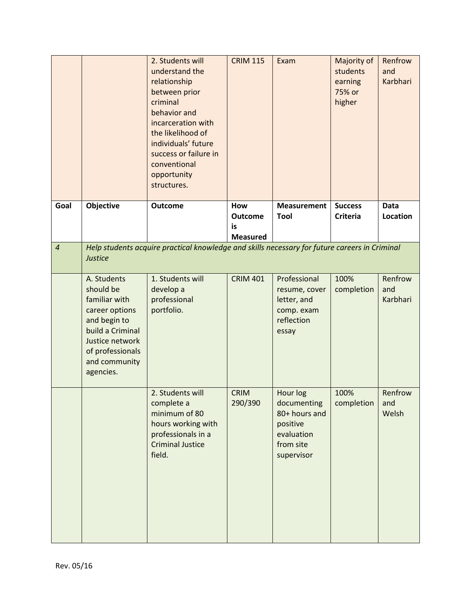|                |                                                                                                                                                                      | 2. Students will<br>understand the<br>relationship<br>between prior<br>criminal<br>behavior and<br>incarceration with<br>the likelihood of<br>individuals' future<br>success or failure in<br>conventional<br>opportunity<br>structures. | <b>CRIM 115</b>             | Exam                                                                                          | Majority of<br>students<br>earning<br>75% or<br>higher | Renfrow<br>and<br>Karbhari     |
|----------------|----------------------------------------------------------------------------------------------------------------------------------------------------------------------|------------------------------------------------------------------------------------------------------------------------------------------------------------------------------------------------------------------------------------------|-----------------------------|-----------------------------------------------------------------------------------------------|--------------------------------------------------------|--------------------------------|
| Goal           | Objective                                                                                                                                                            | <b>Outcome</b>                                                                                                                                                                                                                           | How<br><b>Outcome</b><br>is | <b>Measurement</b><br><b>Tool</b>                                                             | <b>Success</b><br><b>Criteria</b>                      | <b>Data</b><br><b>Location</b> |
| $\overline{4}$ | <b>Justice</b>                                                                                                                                                       | Help students acquire practical knowledge and skills necessary for future careers in Criminal                                                                                                                                            | <b>Measured</b>             |                                                                                               |                                                        |                                |
|                | A. Students<br>should be<br>familiar with<br>career options<br>and begin to<br>build a Criminal<br>Justice network<br>of professionals<br>and community<br>agencies. | 1. Students will<br>develop a<br>professional<br>portfolio.                                                                                                                                                                              | <b>CRIM 401</b>             | Professional<br>resume, cover<br>letter, and<br>comp. exam<br>reflection<br>essay             | 100%<br>completion                                     | Renfrow<br>and<br>Karbhari     |
|                |                                                                                                                                                                      | 2. Students will<br>complete a<br>minimum of 80<br>hours working with<br>professionals in a<br><b>Criminal Justice</b><br>field.                                                                                                         | <b>CRIM</b><br>290/390      | Hour log<br>documenting<br>80+ hours and<br>positive<br>evaluation<br>from site<br>supervisor | 100%<br>completion                                     | Renfrow<br>and<br>Welsh        |